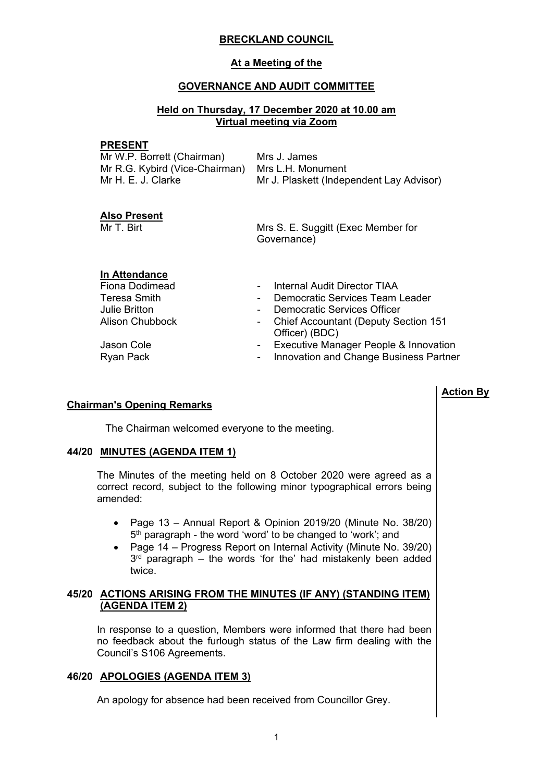## **BRECKLAND COUNCIL**

## **At a Meeting of the**

## **GOVERNANCE AND AUDIT COMMITTEE**

## **Held on Thursday, 17 December 2020 at 10.00 am Virtual meeting via Zoom**

#### **PRESENT**

| Mrs J. James                                     |
|--------------------------------------------------|
| Mr R.G. Kybird (Vice-Chairman) Mrs L.H. Monument |
| Mr J. Plaskett (Independent Lay Advisor)         |
|                                                  |

### **Also Present**

Mr T. Birt Mrs S. E. Suggitt (Exec Member for Governance)

**Action By**

# **In Attendance**

| <b>Fiona Dodimead</b> |            | - Internal Audit Director TIAA           |
|-----------------------|------------|------------------------------------------|
| Teresa Smith          | $\sim 100$ | Democratic Services Team Leader          |
| Julie Britton         | $\sim 100$ | Democratic Services Officer              |
| Alison Chubbock       |            | - Chief Accountant (Deputy Section 151   |
|                       |            | Officer) (BDC)                           |
| Jason Cole            |            | - Executive Manager People & Innovation  |
| Ryan Pack             |            | - Innovation and Change Business Partner |

# **Chairman's Opening Remarks**

The Chairman welcomed everyone to the meeting.

### **44/20 MINUTES (AGENDA ITEM 1)**

The Minutes of the meeting held on 8 October 2020 were agreed as a correct record, subject to the following minor typographical errors being amended:

- Page 13 Annual Report & Opinion 2019/20 (Minute No. 38/20) 5<sup>th</sup> paragraph - the word 'word' to be changed to 'work'; and
- Page 14 Progress Report on Internal Activity (Minute No. 39/20) 3 rd paragraph – the words 'for the' had mistakenly been added twice.

## **45/20 ACTIONS ARISING FROM THE MINUTES (IF ANY) (STANDING ITEM) (AGENDA ITEM 2)**

In response to a question, Members were informed that there had been no feedback about the furlough status of the Law firm dealing with the Council's S106 Agreements.

# **46/20 APOLOGIES (AGENDA ITEM 3)**

An apology for absence had been received from Councillor Grey.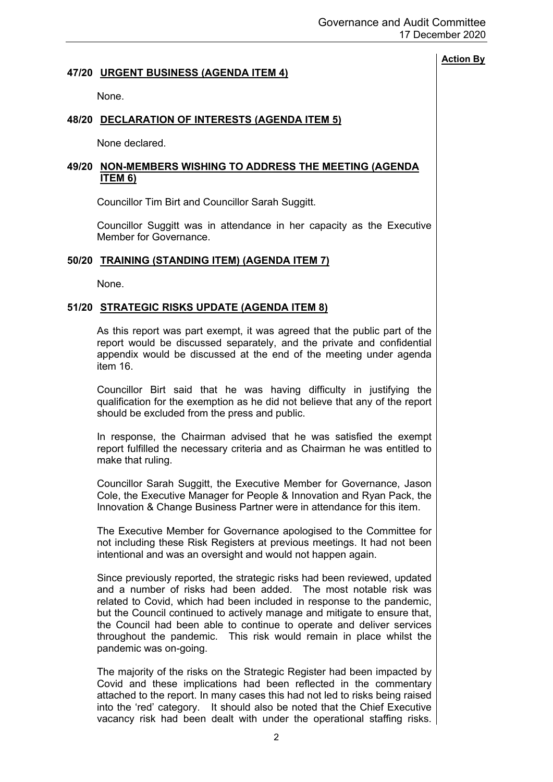## **47/20 URGENT BUSINESS (AGENDA ITEM 4)**

None.

## **48/20 DECLARATION OF INTERESTS (AGENDA ITEM 5)**

None declared.

## **49/20 NON-MEMBERS WISHING TO ADDRESS THE MEETING (AGENDA ITEM 6)**

Councillor Tim Birt and Councillor Sarah Suggitt.

Councillor Suggitt was in attendance in her capacity as the Executive Member for Governance.

### **50/20 TRAINING (STANDING ITEM) (AGENDA ITEM 7)**

None.

## **51/20 STRATEGIC RISKS UPDATE (AGENDA ITEM 8)**

As this report was part exempt, it was agreed that the public part of the report would be discussed separately, and the private and confidential appendix would be discussed at the end of the meeting under agenda item 16.

Councillor Birt said that he was having difficulty in justifying the qualification for the exemption as he did not believe that any of the report should be excluded from the press and public.

In response, the Chairman advised that he was satisfied the exempt report fulfilled the necessary criteria and as Chairman he was entitled to make that ruling.

Councillor Sarah Suggitt, the Executive Member for Governance, Jason Cole, the Executive Manager for People & Innovation and Ryan Pack, the Innovation & Change Business Partner were in attendance for this item.

The Executive Member for Governance apologised to the Committee for not including these Risk Registers at previous meetings. It had not been intentional and was an oversight and would not happen again.

Since previously reported, the strategic risks had been reviewed, updated and a number of risks had been added. The most notable risk was related to Covid, which had been included in response to the pandemic, but the Council continued to actively manage and mitigate to ensure that, the Council had been able to continue to operate and deliver services throughout the pandemic. This risk would remain in place whilst the pandemic was on-going.

The majority of the risks on the Strategic Register had been impacted by Covid and these implications had been reflected in the commentary attached to the report. In many cases this had not led to risks being raised into the 'red' category. It should also be noted that the Chief Executive vacancy risk had been dealt with under the operational staffing risks.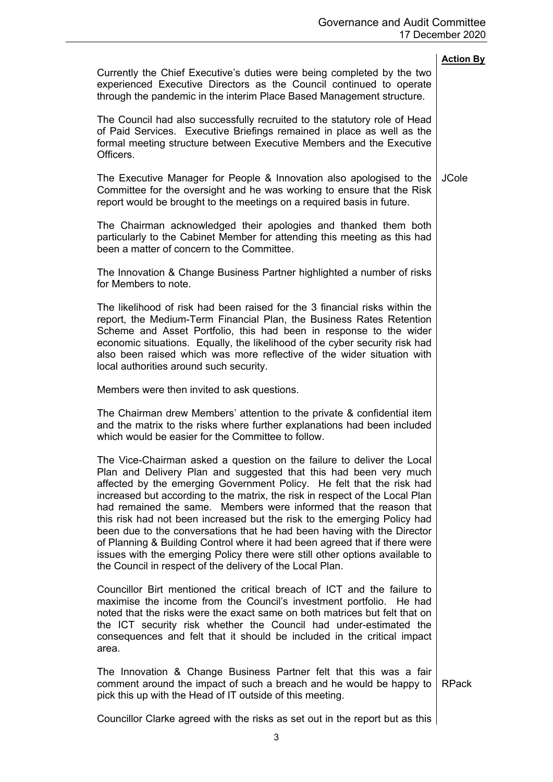|                                                                                                                                                                                                                                                                                                                                                                                                                                                                                                                                                                                                                                                                                                                                                            | <b>Action By</b> |
|------------------------------------------------------------------------------------------------------------------------------------------------------------------------------------------------------------------------------------------------------------------------------------------------------------------------------------------------------------------------------------------------------------------------------------------------------------------------------------------------------------------------------------------------------------------------------------------------------------------------------------------------------------------------------------------------------------------------------------------------------------|------------------|
| Currently the Chief Executive's duties were being completed by the two<br>experienced Executive Directors as the Council continued to operate<br>through the pandemic in the interim Place Based Management structure.                                                                                                                                                                                                                                                                                                                                                                                                                                                                                                                                     |                  |
| The Council had also successfully recruited to the statutory role of Head<br>of Paid Services. Executive Briefings remained in place as well as the<br>formal meeting structure between Executive Members and the Executive<br>Officers.                                                                                                                                                                                                                                                                                                                                                                                                                                                                                                                   |                  |
| The Executive Manager for People & Innovation also apologised to the<br>Committee for the oversight and he was working to ensure that the Risk<br>report would be brought to the meetings on a required basis in future.                                                                                                                                                                                                                                                                                                                                                                                                                                                                                                                                   | <b>JCole</b>     |
| The Chairman acknowledged their apologies and thanked them both<br>particularly to the Cabinet Member for attending this meeting as this had<br>been a matter of concern to the Committee.                                                                                                                                                                                                                                                                                                                                                                                                                                                                                                                                                                 |                  |
| The Innovation & Change Business Partner highlighted a number of risks<br>for Members to note.                                                                                                                                                                                                                                                                                                                                                                                                                                                                                                                                                                                                                                                             |                  |
| The likelihood of risk had been raised for the 3 financial risks within the<br>report, the Medium-Term Financial Plan, the Business Rates Retention<br>Scheme and Asset Portfolio, this had been in response to the wider<br>economic situations. Equally, the likelihood of the cyber security risk had<br>also been raised which was more reflective of the wider situation with<br>local authorities around such security.                                                                                                                                                                                                                                                                                                                              |                  |
| Members were then invited to ask questions.                                                                                                                                                                                                                                                                                                                                                                                                                                                                                                                                                                                                                                                                                                                |                  |
| The Chairman drew Members' attention to the private & confidential item<br>and the matrix to the risks where further explanations had been included<br>which would be easier for the Committee to follow.                                                                                                                                                                                                                                                                                                                                                                                                                                                                                                                                                  |                  |
| The Vice-Chairman asked a question on the failure to deliver the Local<br>Plan and Delivery Plan and suggested that this had been very much<br>affected by the emerging Government Policy. He felt that the risk had<br>increased but according to the matrix, the risk in respect of the Local Plan<br>had remained the same. Members were informed that the reason that<br>this risk had not been increased but the risk to the emerging Policy had<br>been due to the conversations that he had been having with the Director<br>of Planning & Building Control where it had been agreed that if there were<br>issues with the emerging Policy there were still other options available to<br>the Council in respect of the delivery of the Local Plan. |                  |
| Councillor Birt mentioned the critical breach of ICT and the failure to<br>maximise the income from the Council's investment portfolio. He had<br>noted that the risks were the exact same on both matrices but felt that on<br>the ICT security risk whether the Council had under-estimated the<br>consequences and felt that it should be included in the critical impact<br>area.                                                                                                                                                                                                                                                                                                                                                                      |                  |
| The Innovation & Change Business Partner felt that this was a fair<br>comment around the impact of such a breach and he would be happy to<br>pick this up with the Head of IT outside of this meeting.                                                                                                                                                                                                                                                                                                                                                                                                                                                                                                                                                     | <b>RPack</b>     |
| Councillor Clarke agreed with the risks as set out in the report but as this                                                                                                                                                                                                                                                                                                                                                                                                                                                                                                                                                                                                                                                                               |                  |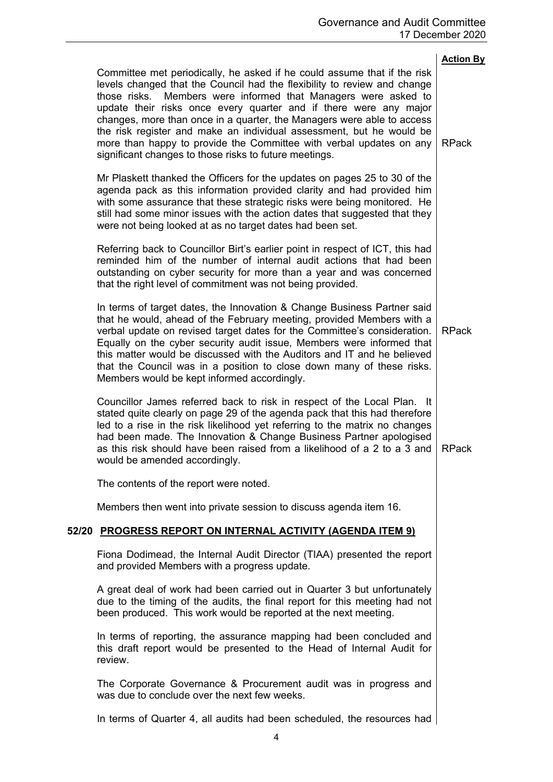|       |                                                                                                                                                                                                                                                                                                                                                                                                                                                                                                                                                                                   | <b>Action By</b> |
|-------|-----------------------------------------------------------------------------------------------------------------------------------------------------------------------------------------------------------------------------------------------------------------------------------------------------------------------------------------------------------------------------------------------------------------------------------------------------------------------------------------------------------------------------------------------------------------------------------|------------------|
|       | Committee met periodically, he asked if he could assume that if the risk<br>levels changed that the Council had the flexibility to review and change<br>Members were informed that Managers were asked to<br>those risks.<br>update their risks once every quarter and if there were any major<br>changes, more than once in a quarter, the Managers were able to access<br>the risk register and make an individual assessment, but he would be<br>more than happy to provide the Committee with verbal updates on any<br>significant changes to those risks to future meetings. | <b>RPack</b>     |
|       | Mr Plaskett thanked the Officers for the updates on pages 25 to 30 of the<br>agenda pack as this information provided clarity and had provided him<br>with some assurance that these strategic risks were being monitored. He<br>still had some minor issues with the action dates that suggested that they<br>were not being looked at as no target dates had been set.                                                                                                                                                                                                          |                  |
|       | Referring back to Councillor Birt's earlier point in respect of ICT, this had<br>reminded him of the number of internal audit actions that had been<br>outstanding on cyber security for more than a year and was concerned<br>that the right level of commitment was not being provided.                                                                                                                                                                                                                                                                                         |                  |
|       | In terms of target dates, the Innovation & Change Business Partner said<br>that he would, ahead of the February meeting, provided Members with a<br>verbal update on revised target dates for the Committee's consideration.<br>Equally on the cyber security audit issue, Members were informed that<br>this matter would be discussed with the Auditors and IT and he believed<br>that the Council was in a position to close down many of these risks.<br>Members would be kept informed accordingly.                                                                          | <b>RPack</b>     |
|       | Councillor James referred back to risk in respect of the Local Plan. It<br>stated quite clearly on page 29 of the agenda pack that this had therefore<br>led to a rise in the risk likelihood yet referring to the matrix no changes<br>had been made. The Innovation & Change Business Partner apologised<br>as this risk should have been raised from a likelihood of a 2 to a 3 and<br>would be amended accordingly.                                                                                                                                                           | <b>RPack</b>     |
|       | The contents of the report were noted.                                                                                                                                                                                                                                                                                                                                                                                                                                                                                                                                            |                  |
|       | Members then went into private session to discuss agenda item 16.                                                                                                                                                                                                                                                                                                                                                                                                                                                                                                                 |                  |
| 52/20 | <b>PROGRESS REPORT ON INTERNAL ACTIVITY (AGENDA ITEM 9)</b>                                                                                                                                                                                                                                                                                                                                                                                                                                                                                                                       |                  |
|       | Fiona Dodimead, the Internal Audit Director (TIAA) presented the report<br>and provided Members with a progress update.                                                                                                                                                                                                                                                                                                                                                                                                                                                           |                  |
|       | A great deal of work had been carried out in Quarter 3 but unfortunately<br>due to the timing of the audits, the final report for this meeting had not<br>been produced. This work would be reported at the next meeting.                                                                                                                                                                                                                                                                                                                                                         |                  |
|       | In terms of reporting, the assurance mapping had been concluded and<br>this draft report would be presented to the Head of Internal Audit for<br>review.                                                                                                                                                                                                                                                                                                                                                                                                                          |                  |
|       | The Corporate Governance & Procurement audit was in progress and<br>was due to conclude over the next few weeks.                                                                                                                                                                                                                                                                                                                                                                                                                                                                  |                  |
|       | In terms of Quarter 4, all audits had been scheduled, the resources had                                                                                                                                                                                                                                                                                                                                                                                                                                                                                                           |                  |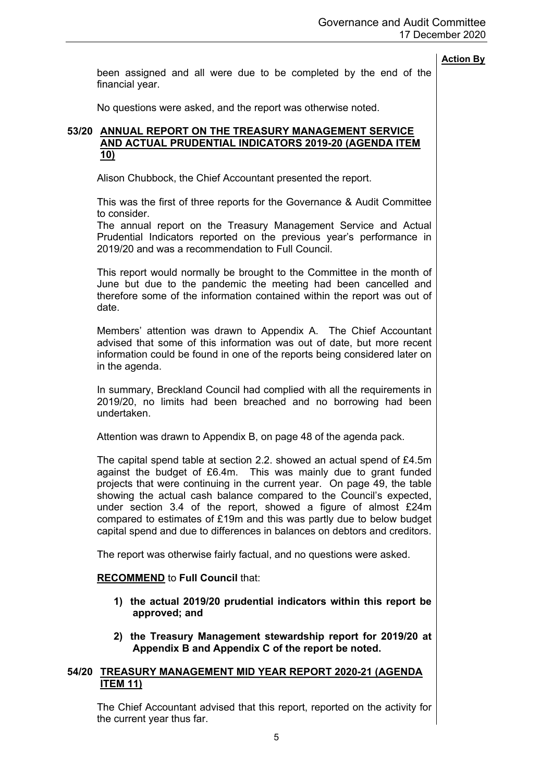been assigned and all were due to be completed by the end of the financial year.

No questions were asked, and the report was otherwise noted.

## **53/20 ANNUAL REPORT ON THE TREASURY MANAGEMENT SERVICE AND ACTUAL PRUDENTIAL INDICATORS 2019-20 (AGENDA ITEM 10)**

Alison Chubbock, the Chief Accountant presented the report.

This was the first of three reports for the Governance & Audit Committee to consider.

The annual report on the Treasury Management Service and Actual Prudential Indicators reported on the previous year's performance in 2019/20 and was a recommendation to Full Council.

This report would normally be brought to the Committee in the month of June but due to the pandemic the meeting had been cancelled and therefore some of the information contained within the report was out of date.

Members' attention was drawn to Appendix A. The Chief Accountant advised that some of this information was out of date, but more recent information could be found in one of the reports being considered later on in the agenda.

In summary, Breckland Council had complied with all the requirements in 2019/20, no limits had been breached and no borrowing had been undertaken.

Attention was drawn to Appendix B, on page 48 of the agenda pack.

The capital spend table at section 2.2. showed an actual spend of £4.5m against the budget of £6.4m. This was mainly due to grant funded projects that were continuing in the current year. On page 49, the table showing the actual cash balance compared to the Council's expected, under section 3.4 of the report, showed a figure of almost £24m compared to estimates of £19m and this was partly due to below budget capital spend and due to differences in balances on debtors and creditors.

The report was otherwise fairly factual, and no questions were asked.

### **RECOMMEND** to **Full Council** that:

- **1) the actual 2019/20 prudential indicators within this report be approved; and**
- **2) the Treasury Management stewardship report for 2019/20 at Appendix B and Appendix C of the report be noted.**

## **54/20 TREASURY MANAGEMENT MID YEAR REPORT 2020-21 (AGENDA ITEM 11)**

The Chief Accountant advised that this report, reported on the activity for the current year thus far.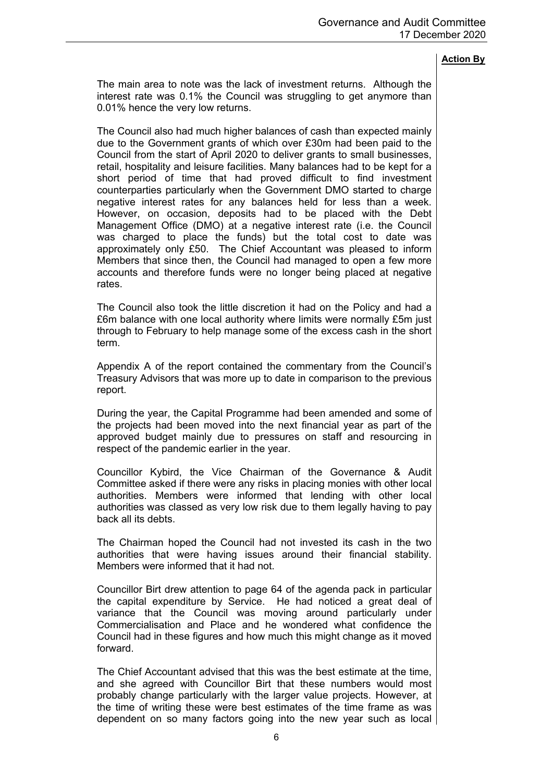The main area to note was the lack of investment returns. Although the interest rate was 0.1% the Council was struggling to get anymore than 0.01% hence the very low returns.

The Council also had much higher balances of cash than expected mainly due to the Government grants of which over £30m had been paid to the Council from the start of April 2020 to deliver grants to small businesses, retail, hospitality and leisure facilities. Many balances had to be kept for a short period of time that had proved difficult to find investment counterparties particularly when the Government DMO started to charge negative interest rates for any balances held for less than a week. However, on occasion, deposits had to be placed with the Debt Management Office (DMO) at a negative interest rate (i.e. the Council was charged to place the funds) but the total cost to date was approximately only £50. The Chief Accountant was pleased to inform Members that since then, the Council had managed to open a few more accounts and therefore funds were no longer being placed at negative rates.

The Council also took the little discretion it had on the Policy and had a £6m balance with one local authority where limits were normally £5m just through to February to help manage some of the excess cash in the short term.

Appendix A of the report contained the commentary from the Council's Treasury Advisors that was more up to date in comparison to the previous report.

During the year, the Capital Programme had been amended and some of the projects had been moved into the next financial year as part of the approved budget mainly due to pressures on staff and resourcing in respect of the pandemic earlier in the year.

Councillor Kybird, the Vice Chairman of the Governance & Audit Committee asked if there were any risks in placing monies with other local authorities. Members were informed that lending with other local authorities was classed as very low risk due to them legally having to pay back all its debts.

The Chairman hoped the Council had not invested its cash in the two authorities that were having issues around their financial stability. Members were informed that it had not.

Councillor Birt drew attention to page 64 of the agenda pack in particular the capital expenditure by Service. He had noticed a great deal of variance that the Council was moving around particularly under Commercialisation and Place and he wondered what confidence the Council had in these figures and how much this might change as it moved forward.

The Chief Accountant advised that this was the best estimate at the time, and she agreed with Councillor Birt that these numbers would most probably change particularly with the larger value projects. However, at the time of writing these were best estimates of the time frame as was dependent on so many factors going into the new year such as local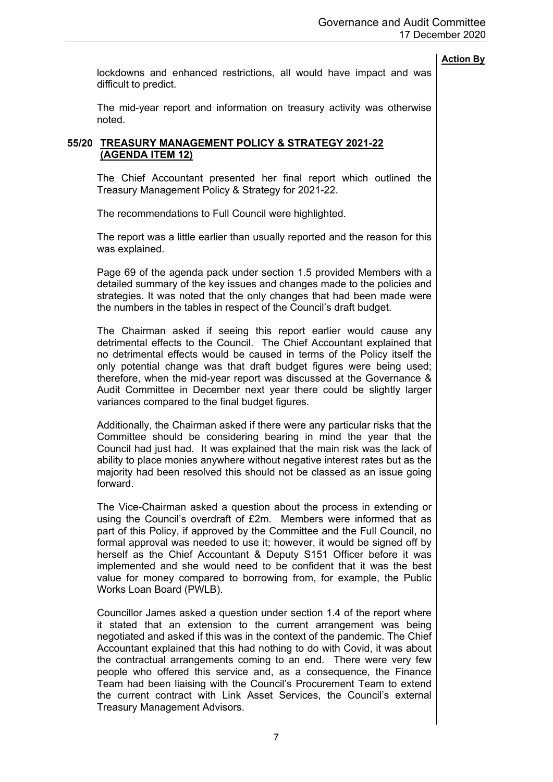lockdowns and enhanced restrictions, all would have impact and was difficult to predict.

The mid-year report and information on treasury activity was otherwise noted.

## **55/20 TREASURY MANAGEMENT POLICY & STRATEGY 2021-22 (AGENDA ITEM 12)**

The Chief Accountant presented her final report which outlined the Treasury Management Policy & Strategy for 2021-22.

The recommendations to Full Council were highlighted.

The report was a little earlier than usually reported and the reason for this was explained.

Page 69 of the agenda pack under section 1.5 provided Members with a detailed summary of the key issues and changes made to the policies and strategies. It was noted that the only changes that had been made were the numbers in the tables in respect of the Council's draft budget.

The Chairman asked if seeing this report earlier would cause any detrimental effects to the Council. The Chief Accountant explained that no detrimental effects would be caused in terms of the Policy itself the only potential change was that draft budget figures were being used; therefore, when the mid-year report was discussed at the Governance & Audit Committee in December next year there could be slightly larger variances compared to the final budget figures.

Additionally, the Chairman asked if there were any particular risks that the Committee should be considering bearing in mind the year that the Council had just had. It was explained that the main risk was the lack of ability to place monies anywhere without negative interest rates but as the majority had been resolved this should not be classed as an issue going forward.

The Vice-Chairman asked a question about the process in extending or using the Council's overdraft of £2m. Members were informed that as part of this Policy, if approved by the Committee and the Full Council, no formal approval was needed to use it; however, it would be signed off by herself as the Chief Accountant & Deputy S151 Officer before it was implemented and she would need to be confident that it was the best value for money compared to borrowing from, for example, the Public Works Loan Board (PWLB).

Councillor James asked a question under section 1.4 of the report where it stated that an extension to the current arrangement was being negotiated and asked if this was in the context of the pandemic. The Chief Accountant explained that this had nothing to do with Covid, it was about the contractual arrangements coming to an end. There were very few people who offered this service and, as a consequence, the Finance Team had been liaising with the Council's Procurement Team to extend the current contract with Link Asset Services, the Council's external Treasury Management Advisors.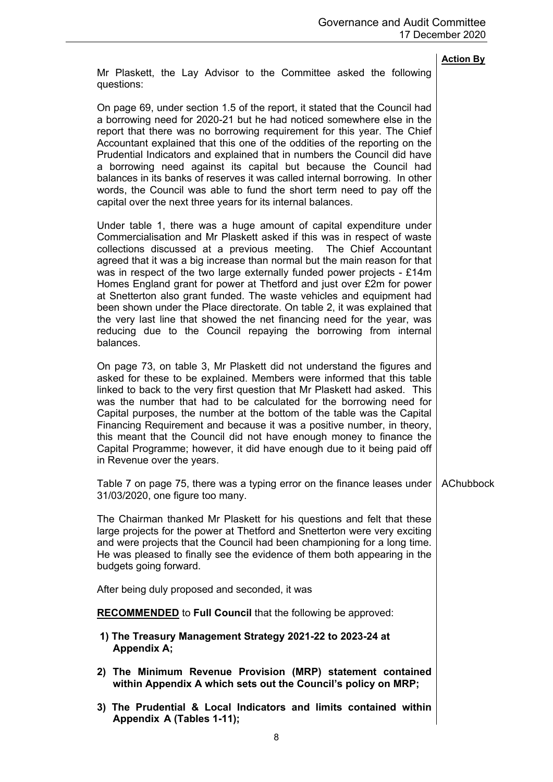Mr Plaskett, the Lay Advisor to the Committee asked the following questions:

On page 69, under section 1.5 of the report, it stated that the Council had a borrowing need for 2020-21 but he had noticed somewhere else in the report that there was no borrowing requirement for this year. The Chief Accountant explained that this one of the oddities of the reporting on the Prudential Indicators and explained that in numbers the Council did have a borrowing need against its capital but because the Council had balances in its banks of reserves it was called internal borrowing. In other words, the Council was able to fund the short term need to pay off the capital over the next three years for its internal balances.

Under table 1, there was a huge amount of capital expenditure under Commercialisation and Mr Plaskett asked if this was in respect of waste collections discussed at a previous meeting. The Chief Accountant agreed that it was a big increase than normal but the main reason for that was in respect of the two large externally funded power projects - £14m Homes England grant for power at Thetford and just over £2m for power at Snetterton also grant funded. The waste vehicles and equipment had been shown under the Place directorate. On table 2, it was explained that the very last line that showed the net financing need for the year, was reducing due to the Council repaying the borrowing from internal balances.

On page 73, on table 3, Mr Plaskett did not understand the figures and asked for these to be explained. Members were informed that this table linked to back to the very first question that Mr Plaskett had asked. This was the number that had to be calculated for the borrowing need for Capital purposes, the number at the bottom of the table was the Capital Financing Requirement and because it was a positive number, in theory, this meant that the Council did not have enough money to finance the Capital Programme; however, it did have enough due to it being paid off in Revenue over the years.

Table 7 on page 75, there was a typing error on the finance leases under 31/03/2020, one figure too many. AChubbock

The Chairman thanked Mr Plaskett for his questions and felt that these large projects for the power at Thetford and Snetterton were very exciting and were projects that the Council had been championing for a long time. He was pleased to finally see the evidence of them both appearing in the budgets going forward.

After being duly proposed and seconded, it was

**RECOMMENDED** to **Full Council** that the following be approved:

- **1) The Treasury Management Strategy 2021-22 to 2023-24 at Appendix A;**
- **2) The Minimum Revenue Provision (MRP) statement contained within Appendix A which sets out the Council's policy on MRP;**
- **3) The Prudential & Local Indicators and limits contained within Appendix A (Tables 1-11);**